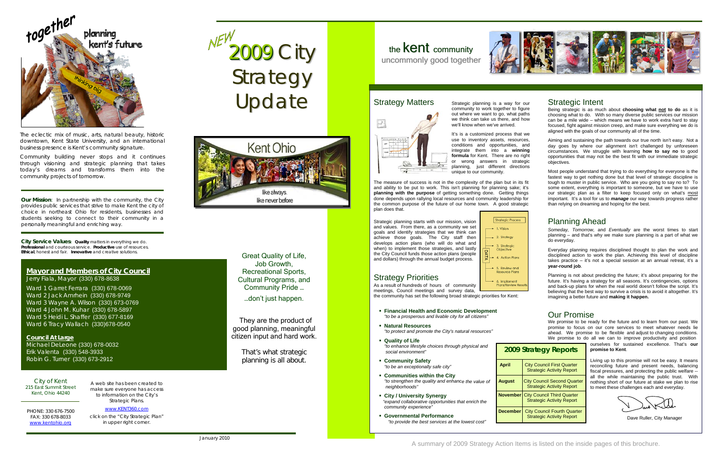**Our Mission**: *In partnership with the community, the City provides public services that strive to make Kent the city of choice in northeast Ohio for residents, businesses and students seeking to connect to their community in a personally meaningful and enriching way.*

**City Service Values***: Quality* matters in everything we do. *Professional* and courteous service. *Productive* use of resources.*Ethical*, honest and fair. *Innovative* and creative solutions.

#### **Mayor and Members of City Council** Jerry Fiala, Mayor (330) 678-8638

Ward 1 Garret Ferrara (330) 678-0069 Ward 2 Jack Amrhein (330) 678-9749 Ward 3 Wayne A. Wilson (330) 673-0769 Ward 4 John M. Kuhar (330) 678-5897 Ward 5 Heidi L. Shaffer (330) 677-8169 Ward 6 Tracy Wallach (330)678-0540

#### **Council At Large**

Michael DeLeone (330) 678-0032 Erik Valenta (330) 548-3933 Robin G. Turner (330) 673-2912

City of Kent 215 East Summit Street Kent, Ohio 44240

PHONE: 330 676-7500 FAX: 330 678-8033 [www.kentohio.org](http://www.kentohio.org/)

A web site has been created to make sure everyone has access to information on the City's Strategic Plans.

[www.KENT360.com](http://www.kent360.com/)click on the "City Strategic Plan" in upper right corner.

2009 City Strategy Update



### Strategic Intent

Being strategic is as much about **choosing what not to do** as it is choosing what to do. With so many diverse public services our mission can be a mile wide – which means we have to work extra hard to stay focused, fight against mission creep, and make sure everything we do is aligned with the goals of our community all of the time.

**ity Council First Quarter** Strategic Activity Report

**August Council Second Quarter** Strategic Activity Report

**ty Council Third Quarter** Strategic Activity Report

*ity Council Fourth Quarter* Strategic Activity Report

Aiming and sustaining the path towards our true north isn't easy. Not a day goes by where our alignment isn't challenged by unforeseen circumstances. We struggle with learning **how to say no** to good opportunities that may not be the best fit with our immediate strategic objectives.

Most people understand that trying to do everything for everyone is the fastest way to get nothing done but that level of strategic discipline is tough to muster in public service. Who are you going to say no to? To some extent, everything is important to someone, but we have to use our strategic plan as a filter to keep focused only on what's most important. It's a tool for us to *manage* our way towards progress rather than relying on dreaming and hoping for the best.

It's is a customized process that we use to inventory assets, resources, conditions and opportunities, and integrate them into a **winning formula** for Kent. There are no right or wrong answers in strategic planning, just different directions unique to our community.

> *Someday, Tomorrow,* and *Eventually* are the worst times to start planning – and that's why we make sure planning is a part of what we do everyday.

> Everyday planning requires disciplined thought to plan the work and disciplined action to work the plan. Achieving this level of discipline takes practice – it's not a special session at an annual retreat, it's a **year-round job**.

- **Financial Health and Economic Development** *"to be a prosperous and livable city for all citizens"*
- **Natural Resources**   *"to protect and promote the City's natural resources"*
- **Quality of Life**  *"to enhance lifestyle choices through physical and social environment"*
- *afe city" "to be an exceptionally s* **Community Safety**
- *e the value of*  "to strengthen the quality and enhance the value of **August** City Council Second Quarter nothing short of our future at stake we plan to rise **Communities within the City**  *neighborhoods"*
- **Example 3 India City / University Synergy** *ies that enrich the "expand collaborative opportunit community experience"*
- **Governmental Performance**  *"to provide the best services at the lowest cost"*

| 2009 Sti        |    |
|-----------------|----|
| <b>April</b>    | С  |
| <b>August</b>   | Ci |
| <b>November</b> | Ci |
| <b>December</b> |    |

Planning is not about predicting the future; it's about preparing for the future. It's having a strategy for all seasons. It's contingencies, options and back-up plans for when the real world doesn't follow the script. It's believing that the best way to survive a crisis is to avoid it altogether. It's imagining a better future and **making it happen.**

We promise to be ready for the future and to learn from our past. We promise to focus on our core services to meet whatever needs lie ahead. We promise to be flexible and adjust to changing conditions. We promise to do all we can to improve productivity and position

#### **zategy Reports**

Great Quality of Life, Job Growth, Recreational Sports, Cultural Programs, and Community Pride … …don't just happen.

They are the product of good planning, meaningful citizen input and hard work.

> That's what strategic planning is all about.

# the **Kent** community uncommonly good together





The eclectic mix of music, arts, natural beauty, historic downtown, Kent State University, and an international business presence is Kent's community signature.

Community building never stops and it continues through visioning and strategic planning that takes today's dreams and transforms them into the community projects of tomorrow.

Strategic planning is a way for our community to work together to figure out where we want to go, what paths we think can take us there, and how we'll know when we've arrived.

# Strategy Matters



The measure of success is not in the complexity of the plan but in its fit and ability to be put to work. This isn't planning for planning sake; it's **planning with the purpose** of getting something done. Getting things done depends upon rallying local resources and community leadership for the common purpose of the future of our home town. A good strategic plan does that.

Strategic planning starts with our mission, vision and values. From there, as a community we set goals and identify strategies that we think can achieve those goals. The City staff then develops action plans (who will do what and when) to implement those strategies, and lastly the City Council funds those action plans (people and dollars) through the annual budget process.



# Strategy Priorities

meetings, Council meetings and survey data, As a result of hundreds of hours of community

Dave Ruller, City Manager

the community has set the following broad str ategic priorities for Kent:

### Planning Ahead

ourselves for sustained excellence. That's **our promise to Kent**.

Living up to this promise will not be easy. It means reconciling future and present needs, balancing fiscal pressures, and protecting the public welfare -all the while maintaining the public trust. With to meet these challenges each and everyday.

## Our Promise